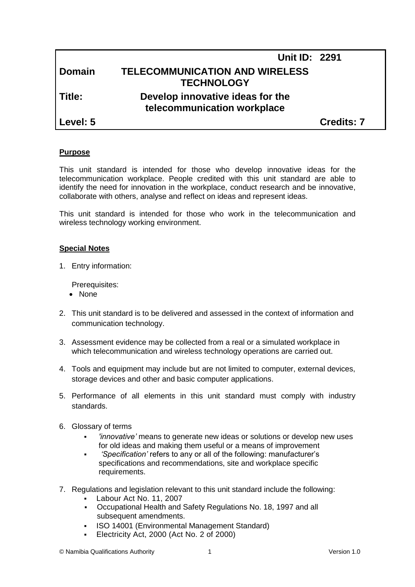|               | <b>Unit ID: 2291</b>                                            |                   |
|---------------|-----------------------------------------------------------------|-------------------|
| <b>Domain</b> | <b>TELECOMMUNICATION AND WIRELESS</b><br><b>TECHNOLOGY</b>      |                   |
| Title:        | Develop innovative ideas for the<br>telecommunication workplace |                   |
| Level: 5      |                                                                 | <b>Credits: 7</b> |

#### **Purpose**

This unit standard is intended for those who develop innovative ideas for the telecommunication workplace. People credited with this unit standard are able to identify the need for innovation in the workplace, conduct research and be innovative, collaborate with others, analyse and reflect on ideas and represent ideas.

This unit standard is intended for those who work in the telecommunication and wireless technology working environment.

#### **Special Notes**

1. Entry information:

Prerequisites:

- None
- 2. This unit standard is to be delivered and assessed in the context of information and communication technology.
- 3. Assessment evidence may be collected from a real or a simulated workplace in which telecommunication and wireless technology operations are carried out.
- 4. Tools and equipment may include but are not limited to computer, external devices, storage devices and other and basic computer applications.
- 5. Performance of all elements in this unit standard must comply with industry standards.
- 6. Glossary of terms
	- *'innovative'* means to generate new ideas or solutions or develop new uses for old ideas and making them useful or a means of improvement
	- *'Specification'* refers to any or all of the following: manufacturer's specifications and recommendations, site and workplace specific requirements.
- 7. Regulations and legislation relevant to this unit standard include the following:
	- Labour Act No. 11, 2007
	- Occupational Health and Safety Regulations No. 18, 1997 and all subsequent amendments.
	- ISO 14001 (Environmental Management Standard)
	- Electricity Act, 2000 (Act No. 2 of 2000)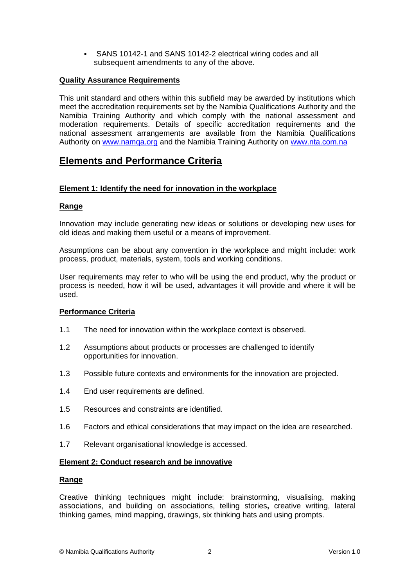SANS 10142-1 and SANS 10142-2 electrical wiring codes and all subsequent amendments to any of the above.

## **Quality Assurance Requirements**

This unit standard and others within this subfield may be awarded by institutions which meet the accreditation requirements set by the Namibia Qualifications Authority and the Namibia Training Authority and which comply with the national assessment and moderation requirements. Details of specific accreditation requirements and the national assessment arrangements are available from the Namibia Qualifications Authority on [www.namqa.org](http://www.namqa.org/) and the Namibia Training Authority on [www.nta.com.na](http://www.nta.com.na/)

# **Elements and Performance Criteria**

## **Element 1: Identify the need for innovation in the workplace**

## **Range**

Innovation may include generating new ideas or solutions or developing new uses for old ideas and making them useful or a means of improvement.

Assumptions can be about any convention in the workplace and might include: work process, product, materials, system, tools and working conditions.

User requirements may refer to who will be using the end product, why the product or process is needed, how it will be used, advantages it will provide and where it will be used.

## **Performance Criteria**

- 1.1 The need for innovation within the workplace context is observed.
- 1.2 Assumptions about products or processes are challenged to identify opportunities for innovation.
- 1.3 Possible future contexts and environments for the innovation are projected.
- 1.4 End user requirements are defined.
- 1.5 Resources and constraints are identified.
- 1.6 Factors and ethical considerations that may impact on the idea are researched.
- 1.7 Relevant organisational knowledge is accessed.

## **Element 2: Conduct research and be innovative**

## **Range**

Creative thinking techniques might include: brainstorming, visualising, making associations, and building on associations, telling stories**,** creative writing, lateral thinking games, mind mapping, drawings, six thinking hats and using prompts.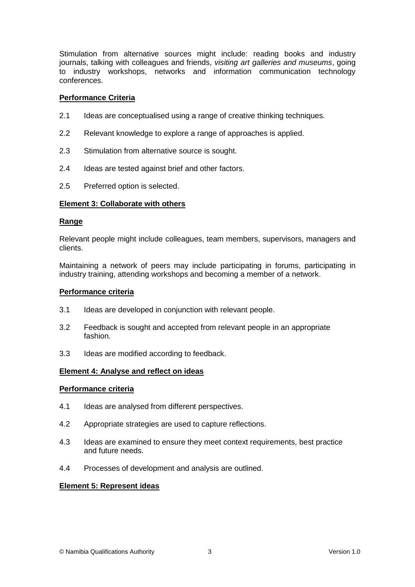Stimulation from alternative sources might include: reading books and industry journals, talking with colleagues and friends, *visiting art galleries and museums*, going to industry workshops, networks and information communication technology conferences.

#### **Performance Criteria**

- 2.1 Ideas are conceptualised using a range of creative thinking techniques.
- 2.2 Relevant knowledge to explore a range of approaches is applied.
- 2.3 Stimulation from alternative source is sought.
- 2.4 Ideas are tested against brief and other factors.
- 2.5 Preferred option is selected.

## **Element 3: Collaborate with others**

#### **Range**

Relevant people might include colleagues, team members, supervisors, managers and clients.

Maintaining a network of peers may include participating in forums, participating in industry training, attending workshops and becoming a member of a network.

#### **Performance criteria**

- 3.1 Ideas are developed in conjunction with relevant people.
- 3.2 Feedback is sought and accepted from relevant people in an appropriate fashion.
- 3.3 Ideas are modified according to feedback.

## **Element 4: Analyse and reflect on ideas**

#### **Performance criteria**

- 4.1 Ideas are analysed from different perspectives.
- 4.2 Appropriate strategies are used to capture reflections.
- 4.3 Ideas are examined to ensure they meet context requirements, best practice and future needs.
- 4.4 Processes of development and analysis are outlined.

#### **Element 5: Represent ideas**